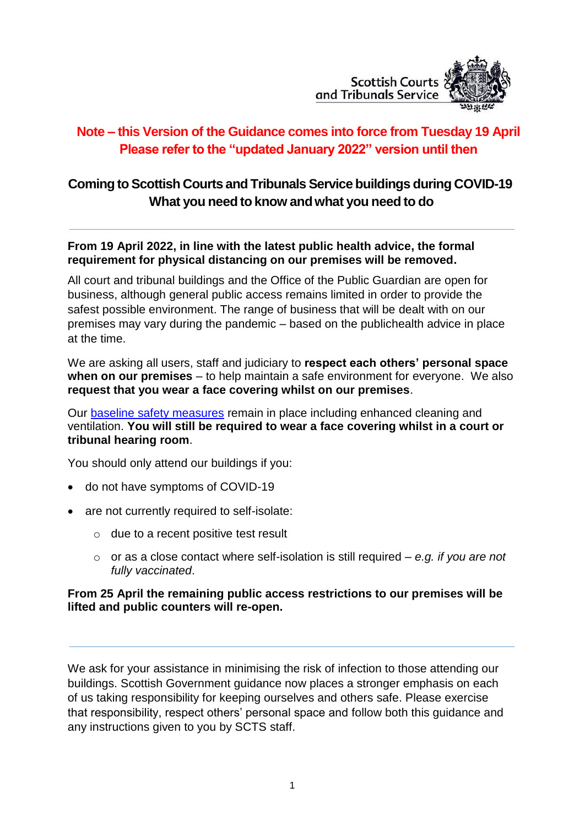

# **Note – this Version of the Guidance comes into force from Tuesday 19 April Please refer to the "updated January 2022" version until then**

# **Comingto Scottish Courts and Tribunals Service buildings during COVID-19 What you need to know andwhat you need to do**

#### **From 19 April 2022, in line with the latest public health advice, the formal requirement for physical distancing on our premises will be removed.**

All court and tribunal buildings and the Office of the Public Guardian are open for business, although general public access remains limited in order to provide the safest possible environment. The range of business that will be dealt with on our premises may vary during the pandemic – based on the publichealth advice in place at the time.

We are asking all users, staff and judiciary to **respect each others' personal space when on our premises** – to help maintain a safe environment for everyone. We also **request that you wear a face covering whilst on our premises**.

Our [baseline safety measures](https://www.gov.scot/coronavirus-covid-19/) remain in place including enhanced cleaning and ventilation. **You will still be required to wear a face covering whilst in a court or tribunal hearing room**.

You should only attend our buildings if you:

- do not have symptoms of COVID-19
- are not currently required to self-isolate:
	- $\circ$  due to a recent positive test result
	- o or as a close contact where self-isolation is [still required](https://www.nhsinform.scot/illnesses-and-conditions/infections-and-poisoning/coronavirus-covid-19/test-and-protect/coronavirus-covid-19-guidance-for-households-with-possible-coronavirus-infection/) *e.g. if you are not fully vaccinated*.

#### **From 25 April the remaining public access restrictions to our premises will be lifted and public counters will re-open.**

We ask for your assistance in minimising the risk of infection to those attending our buildings. Scottish Government guidance now places a stronger emphasis on each of us taking responsibility for keeping ourselves and others safe. Please exercise that responsibility, respect others' personal space and follow both this guidance and any instructions given to you by SCTS staff.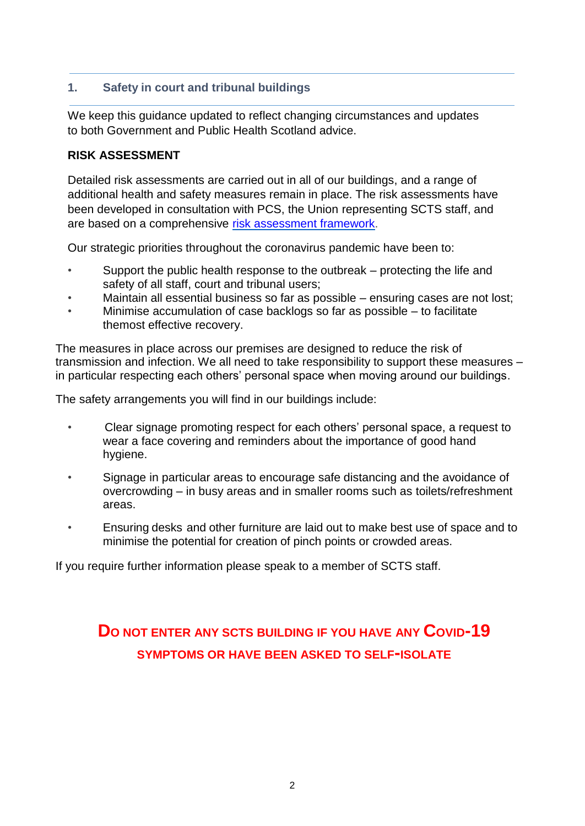## **1. Safety in court and tribunal buildings**

We keep this guidance updated to reflect changing circumstances and updates to both Government and Public Health Scotland advice.

#### **RISK ASSESSMENT**

Detailed risk assessments are carried out in all of our buildings, and a range of additional health and safety measures remain in place. The risk assessments have been developed in consultation with PCS, the Union representing SCTS staff, and are based on a comprehensive risk [assessment](https://www.scotcourts.gov.uk/coming-to-court/covid-19-risk-assessments) framework.

Our strategic priorities throughout the coronavirus pandemic have been to:

- Support the public health response to the outbreak protecting the life and safety of all staff, court and tribunal users;
- Maintain all essential business so far as possible ensuring cases are not lost;
- Minimise accumulation of case backlogs so far as possible  $-$  to facilitate themost effective recovery.

The measures in place across our premises are designed to reduce the risk of transmission and infection. We all need to take responsibility to support these measures – in particular respecting each others' personal space when moving around our buildings.

The safety arrangements you will find in our buildings include:

- Clear signage promoting respect for each others' personal space, a request to wear a face covering and reminders about the importance of good hand hygiene.
- Signage in particular areas to encourage safe distancing and the avoidance of overcrowding – in busy areas and in smaller rooms such as toilets/refreshment areas.
- Ensuring desks and other furniture are laid out to make best use of space and to minimise the potential for creation of pinch points or crowded areas.

If you require further information please speak to a member of SCTS staff.

# **D<sup>O</sup> NOT ENTER ANY SCTS BUILDING IF YOU HAVE ANY COVID-19 SYMPTOMS OR HAVE BEEN ASKED TO SELF-ISOLATE**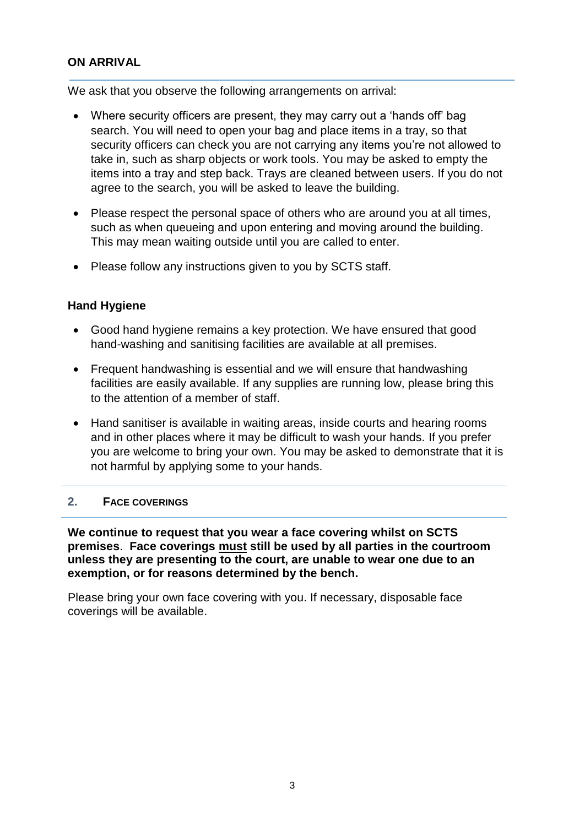### **ON ARRIVAL**

We ask that you observe the following arrangements on arrival:

- Where security officers are present, they may carry out a 'hands off' bag search. You will need to open your bag and place items in a tray, so that security officers can check you are not carrying any items you're not allowed to take in, such as sharp objects or work tools. You may be asked to empty the items into a tray and step back. Trays are cleaned between users. If you do not agree to the search, you will be asked to leave the building.
- Please respect the personal space of others who are around you at all times, such as when queueing and upon entering and moving around the building. This may mean waiting outside until you are called to enter.
- Please follow any instructions given to you by SCTS staff.

#### **Hand Hygiene**

- Good hand hygiene remains a key protection. We have ensured that good hand-washing and sanitising facilities are available at all premises.
- Frequent handwashing is essential and we will ensure that handwashing facilities are easily available. If any supplies are running low, please bring this to the attention of a member of staff.
- Hand sanitiser is available in waiting areas, inside courts and hearing rooms and in other places where it may be difficult to wash your hands. If you prefer you are welcome to bring your own. You may be asked to demonstrate that it is not harmful by applying some to your hands.

#### **2. FACE COVERINGS**

**We continue to request that you wear a face covering whilst on SCTS premises**. **Face coverings must still be used by all parties in the courtroom unless they are presenting to the court, are unable to wear one due to an exemption, or for reasons determined by the bench.**

Please bring your own face covering with you. If necessary, disposable face coverings will be available.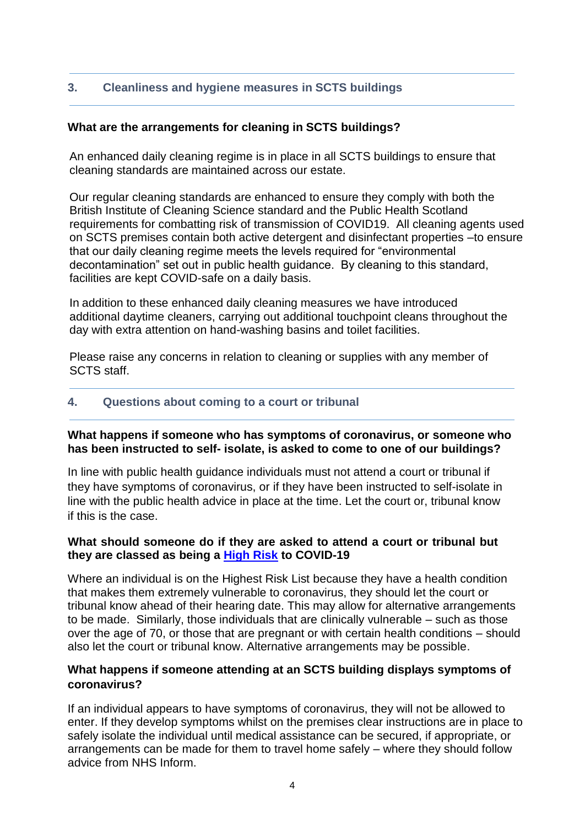## **3. Cleanliness and hygiene measures in SCTS buildings**

#### **What are the arrangements for cleaning in SCTS buildings?**

An enhanced daily cleaning regime is in place in all SCTS buildings to ensure that cleaning standards are maintained across our estate.

Our regular cleaning standards are enhanced to ensure they comply with both the British Institute of Cleaning Science standard and the Public Health Scotland requirements for combatting risk of transmission of COVID19. All cleaning agents used on SCTS premises contain both active detergent and disinfectant properties –to ensure that our daily cleaning regime meets the levels required for "environmental decontamination" set out in public health guidance. By cleaning to this standard, facilities are kept COVID-safe on a daily basis.

In addition to these enhanced daily cleaning measures we have introduced additional daytime cleaners, carrying out additional touchpoint cleans throughout the day with extra attention on hand-washing basins and toilet facilities.

Please raise any concerns in relation to cleaning or supplies with any member of SCTS staff.

#### **4. Questions about coming to a court or tribunal**

#### **What happens if someone who has symptoms of coronavirus, or someone who has been instructed to self- isolate, is asked to come to one of our buildings?**

In line with public health guidance individuals must not attend a court or tribunal if they have symptoms of coronavirus, or if they have been instructed to self-isolate in line with the public health advice in place at the time. Let the court or, tribunal know if this is the case.

#### **What should someone do if they are asked to attend a court or tribunal but they are classed as being a [High Risk](https://www.gov.scot/publications/covid-highest-risk/pages/highest-risk-classification/) to COVID-19**

Where an individual is on the Highest Risk List because they have a health condition that makes them extremely vulnerable to coronavirus, they should let the court or tribunal know ahead of their hearing date. This may allow for alternative arrangements to be made. Similarly, those individuals that are clinically vulnerable – such as those over the age of 70, or those that are pregnant or with certain health conditions – should also let the court or tribunal know. Alternative arrangements may be possible.

#### **What happens if someone attending at an SCTS building displays symptoms of coronavirus?**

If an individual appears to have symptoms of coronavirus, they will not be allowed to enter. If they develop symptoms whilst on the premises clear instructions are in place to safely isolate the individual until medical assistance can be secured, if appropriate, or arrangements can be made for them to travel home safely – where they should follow advice from NHS Inform.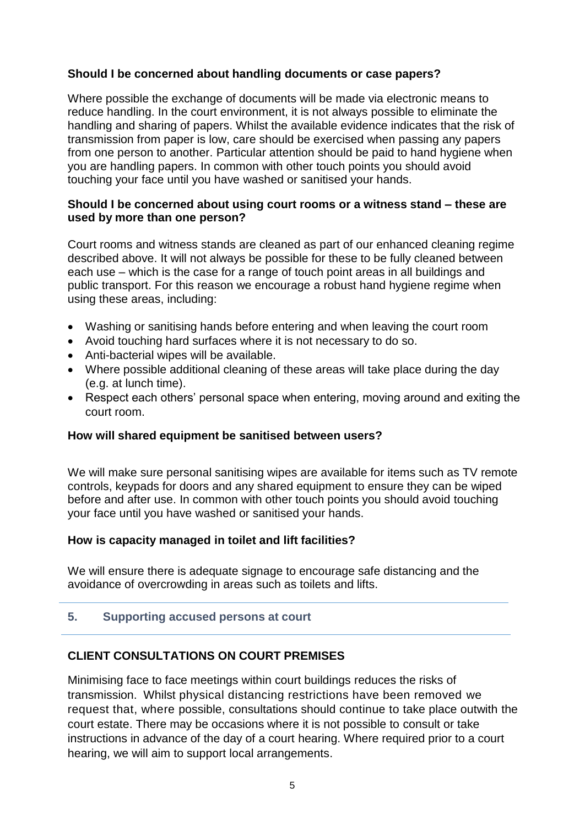### **Should I be concerned about handling documents or case papers?**

Where possible the exchange of documents will be made via electronic means to reduce handling. In the court environment, it is not always possible to eliminate the handling and sharing of papers. Whilst the available evidence indicates that the risk of transmission from paper is low, care should be exercised when passing any papers from one person to another. Particular attention should be paid to hand hygiene when you are handling papers. In common with other touch points you should avoid touching your face until you have washed or sanitised your hands.

#### **Should I be concerned about using court rooms or a witness stand – these are used by more than one person?**

Court rooms and witness stands are cleaned as part of our enhanced cleaning regime described above. It will not always be possible for these to be fully cleaned between each use – which is the case for a range of touch point areas in all buildings and public transport. For this reason we encourage a robust hand hygiene regime when using these areas, including:

- Washing or sanitising hands before entering and when leaving the court room
- Avoid touching hard surfaces where it is not necessary to do so.
- Anti-bacterial wipes will be available.
- Where possible additional cleaning of these areas will take place during the day (e.g. at lunch time).
- Respect each others' personal space when entering, moving around and exiting the court room.

#### **How will shared equipment be sanitised between users?**

We will make sure personal sanitising wipes are available for items such as TV remote controls, keypads for doors and any shared equipment to ensure they can be wiped before and after use. In common with other touch points you should avoid touching your face until you have washed or sanitised your hands.

#### **How is capacity managed in toilet and lift facilities?**

We will ensure there is adequate signage to encourage safe distancing and the avoidance of overcrowding in areas such as toilets and lifts.

#### **5. Supporting accused persons at court**

## **CLIENT CONSULTATIONS ON COURT PREMISES**

Minimising face to face meetings within court buildings reduces the risks of transmission. Whilst physical distancing restrictions have been removed we request that, where possible, consultations should continue to take place outwith the court estate. There may be occasions where it is not possible to consult or take instructions in advance of the day of a court hearing. Where required prior to a court hearing, we will aim to support local arrangements.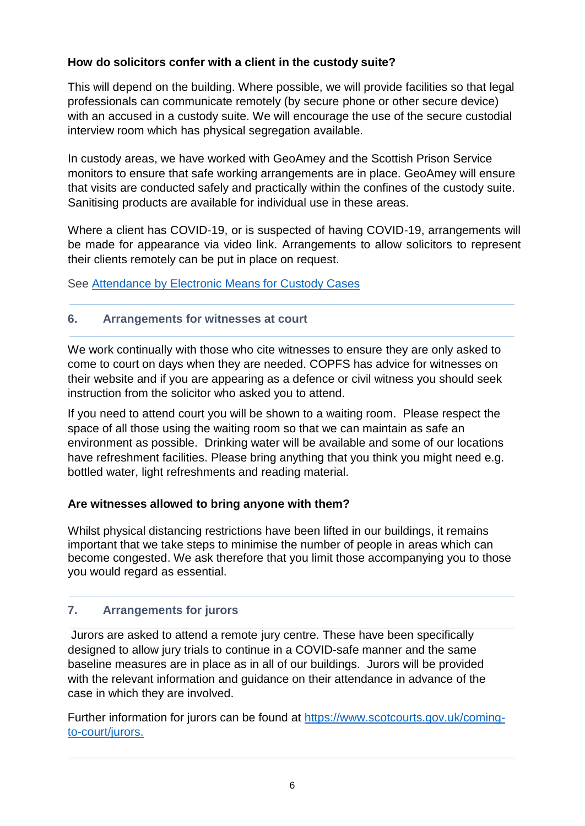## **How do solicitors confer with a client in the custody suite?**

This will depend on the building. Where possible, we will provide facilities so that legal professionals can communicate remotely (by secure phone or other secure device) with an accused in a custody suite. We will encourage the use of the secure custodial interview room which has physical segregation available.

In custody areas, we have worked with GeoAmey and the Scottish Prison Service monitors to ensure that safe working arrangements are in place. GeoAmey will ensure that visits are conducted safely and practically within the confines of the custody suite. Sanitising products are available for individual use in these areas.

Where a client has COVID-19, or is suspected of having COVID-19, arrangements will be made for appearance via video link. Arrangements to allow solicitors to represent their clients remotely can be put in place on request.

See Attendance by Electronic Means [for Custody](http://www.scotcourts.gov.uk/docs/default-source/rules-and-practice/coronavirus-temp-orders/coronavirus-miscellaneous/attendance-by-electronic-means-04-06-2020.pdf?sfvrsn=2) Cases

## **6. Arrangements for witnesses at court**

We work continually with those who cite witnesses to ensure they are only asked to come to court on days when they are needed. COPFS has advice for witnesses on their [website a](https://www.copfs.gov.uk/media-site-news-from-copfs/1875-coronavirus-covid-19-information-for-those-due-to-attend-court)nd if you are appearing as a defence or civil witness you should seek instruction from the solicitor who asked you to attend.

If you need to attend court you will be shown to a waiting room. Please respect the space of all those using the waiting room so that we can maintain as safe an environment as possible. Drinking water will be available and some of our locations have refreshment facilities. Please bring anything that you think you might need e.g. bottled water, light refreshments and reading material.

## **Are witnesses allowed to bring anyone with them?**

Whilst physical distancing restrictions have been lifted in our buildings, it remains important that we take steps to minimise the number of people in areas which can become congested. We ask therefore that you limit those accompanying you to those you would regard as essential.

## **7. Arrangements for jurors**

Jurors are asked to attend a remote jury centre. These have been specifically designed to allow jury trials to continue in a COVID-safe manner and the same baseline measures are in place as in all of our buildings. Jurors will be provided with the relevant information and guidance on their attendance in advance of the case in which they are involved.

Further information for jurors can be found at [https://www.scotcourts.gov.uk/coming](https://www.scotcourts.gov.uk/coming-to-court/jurors)[to-court/jurors.](https://www.scotcourts.gov.uk/coming-to-court/jurors)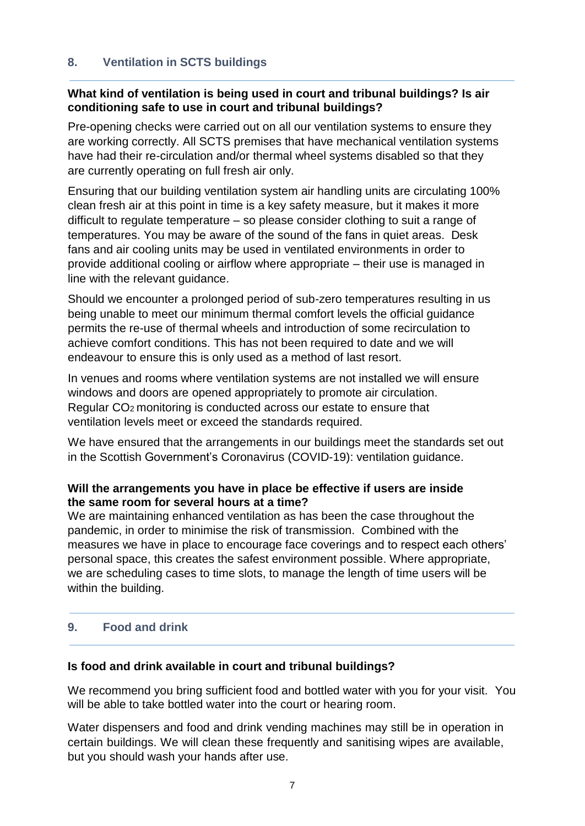## **8. Ventilation in SCTS buildings**

## **What kind of ventilation is being used in court and tribunal buildings? Is air conditioning safe to use in court and tribunal buildings?**

Pre-opening checks were carried out on all our ventilation systems to ensure they are working correctly. All SCTS premises that have mechanical ventilation systems have had their re-circulation and/or thermal wheel systems disabled so that they are currently operating on full fresh air only.

Ensuring that our building ventilation system air handling units are circulating 100% clean fresh air at this point in time is a key safety measure, but it makes it more difficult to regulate temperature – so please consider clothing to suit a range of temperatures. You may be aware of the sound of the fans in quiet areas. Desk fans and air cooling units may be used in ventilated environments in order to provide additional cooling or airflow where appropriate – their use is managed in line with the relevant guidance.

Should we encounter a prolonged period of sub-zero temperatures resulting in us being unable to meet our minimum thermal comfort levels the official guidance permits the re-use of thermal wheels and introduction of some recirculation to achieve comfort conditions. This has not been required to date and we will endeavour to ensure this is only used as a method of last resort.

In venues and rooms where ventilation systems are not installed we will ensure windows and doors are opened appropriately to promote air circulation. Regular CO<sub>2</sub> monitoring is conducted across our estate to ensure that ventilation levels meet or exceed the standards required.

We have ensured that the arrangements in our buildings meet the standards set out in the Scottish Government's Coronavirus (COVID-19): ventilation guidance.

## **Will the arrangements you have in place be effective if users are inside the same room for several hours at a time?**

We are maintaining enhanced ventilation as has been the case throughout the pandemic, in order to minimise the risk of transmission. Combined with the measures we have in place to encourage face coverings and to respect each others' personal space, this creates the safest environment possible. Where appropriate, we are scheduling cases to time slots, to manage the length of time users will be within the building.

## **9. Food and drink**

## **Is food and drink available in court and tribunal buildings?**

We recommend you bring sufficient food and bottled water with you for your visit. You will be able to take bottled water into the court or hearing room.

Water dispensers and food and drink vending machines may still be in operation in certain buildings. We will clean these frequently and sanitising wipes are available, but you should wash your hands after use.